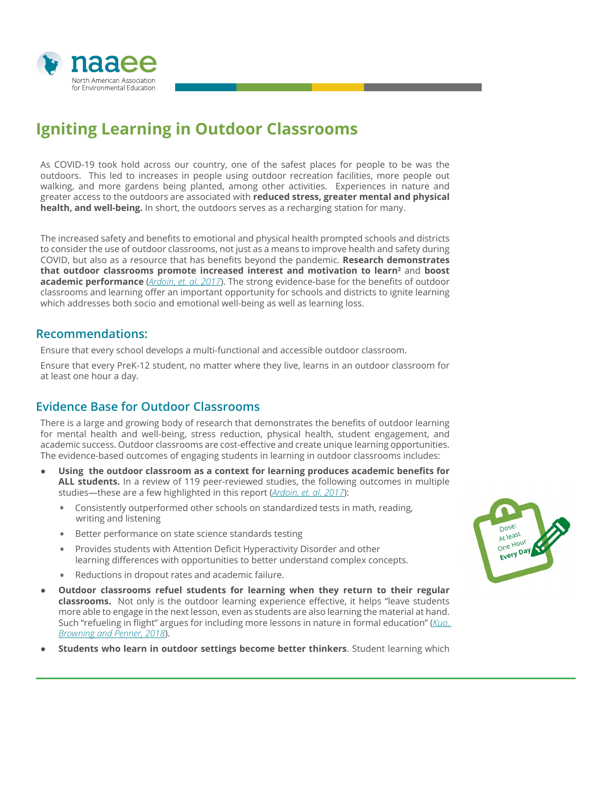

# **Igniting Learning in Outdoor Classrooms**

As COVID-19 took hold across our country, one of the safest places for people to be was the outdoors. This led to increases in people using outdoor recreation facilities, more people out walking, and more gardens being planted, among other activities. Experiences in nature and greater access to the outdoors are associated with **reduced stress, greater mental and physical health, and well-being.** In short, the outdoors serves as a recharging station for many.

The increased safety and benefits to emotional and physical health prompted schools and districts to consider the use of outdoor classrooms, not just as a means to improve health and safety during COVID, but also as a resource that has benefits beyond the pandemic. **Research demonstrates that outdoor classrooms promote increased interest and motivation to learn<sup>2</sup> and boost academic performance** (*[Ardoin, et. al, 2017](https://cdn.naaee.org/sites/default/files/eeworks/files/academic_benefits_final.pdf)*). The strong evidence-base for the benefits of outdoor classrooms and learning offer an important opportunity for schools and districts to ignite learning which addresses both socio and emotional well-being as well as learning loss.

### **Recommendations:**

Ensure that every school develops a multi-functional and accessible outdoor classroom.

Ensure that every PreK-12 student, no matter where they live, learns in an outdoor classroom for at least one hour a day.

## **Evidence Base for Outdoor Classrooms**

There is a large and growing body of research that demonstrates the benefits of outdoor learning for mental health and well-being, stress reduction, physical health, student engagement, and academic success. Outdoor classrooms are cost-effective and create unique learning opportunities. The evidence-based outcomes of engaging students in learning in outdoor classrooms includes:

- Using the outdoor classroom as a context for learning produces academic benefits for **ALL students.** In a review of 119 peer-reviewed studies, the following outcomes in multiple studies—these are a few highlighted in this report (*[Ardoin, et. al, 2017](https://cdn.naaee.org/sites/default/files/eeworks/files/academic_benefits_final.pdf)*):
	- Consistently outperformed other schools on standardized tests in math, reading, writing and listening
	- Better performance on state science standards testing
	- Provides students with Attention Deficit Hyperactivity Disorder and other learning differences with opportunities to better understand complex concepts.
	- Reductions in dropout rates and academic failure.
- **Outdoor classrooms refuel students for learning when they return to their regular classrooms.** Not only is the outdoor learning experience effective, it helps "leave students more able to engage in the next lesson, even as students are also learning the material at hand. Such "refueling in flight" argues for including more lessons in nature in formal education" (*[Kuo,](https://www.frontiersin.org/articles/10.3389/fpsyg.2017.02253/full)  [Browning and Penner, 2018](https://www.frontiersin.org/articles/10.3389/fpsyg.2017.02253/full)*).
- **Students who learn in outdoor settings become better thinkers**. Student learning which